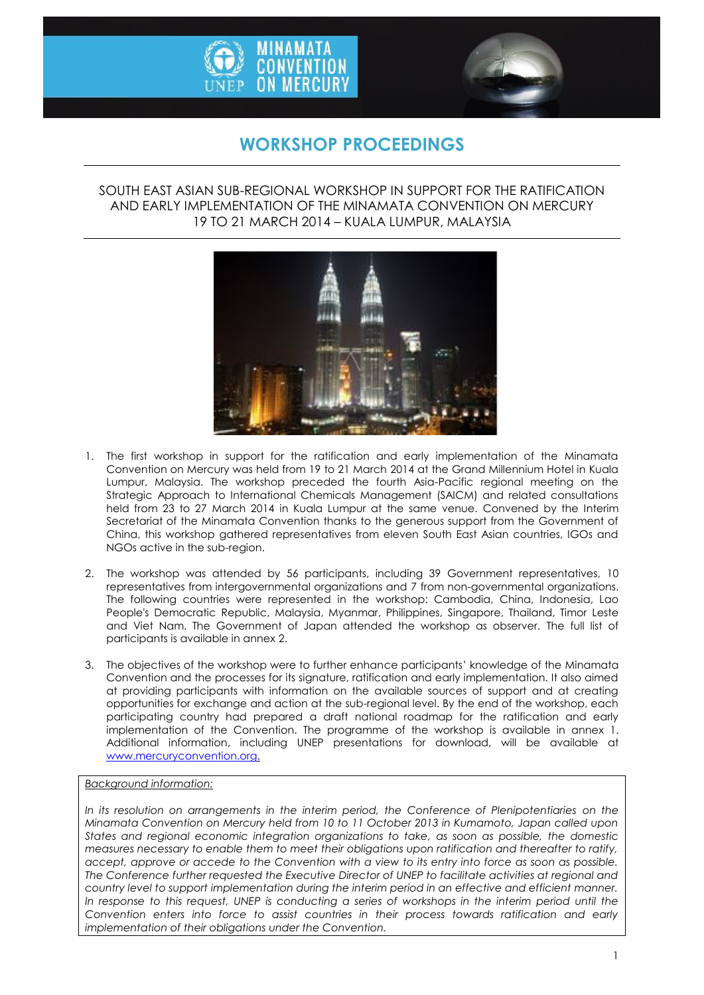



# **WORKSHOP PROCEEDINGS**

### SOUTH EAST ASIAN SUB-REGIONAL WORKSHOP IN SUPPORT FOR THE RATIFICATION AND EARLY IMPLEMENTATION OF THE MINAMATA CONVENTION ON MERCURY 19 TO 21 MARCH 2014 – KUALA LUMPUR, MALAYSIA



- 1. The first workshop in support for the ratification and early implementation of the Minamata Convention on Mercury was held from 19 to 21 March 2014 at the Grand Millennium Hotel in Kuala Lumpur, Malaysia. The workshop preceded the fourth Asia-Pacific regional meeting on the Strategic Approach to International Chemicals Management (SAICM) and related consultations held from 23 to 27 March 2014 in Kuala Lumpur at the same venue. Convened by the Interim Secretariat of the Minamata Convention thanks to the generous support from the Government of China, this workshop gathered representatives from eleven South East Asian countries, IGOs and NGOs active in the sub-region.
- 2. The workshop was attended by 56 participants, including 39 Government representatives, 10 representatives from intergovernmental organizations and 7 from non-governmental organizations. The following countries were represented in the workshop: Cambodia, China, Indonesia, Lao People's Democratic Republic, Malaysia, Myanmar, Philippines, Singapore, Thailand, Timor Leste and Viet Nam. The Government of Japan attended the workshop as observer. The full list of participants is available in annex 2.
- 3. The objectives of the workshop were to further enhance participants' knowledge of the Minamata Convention and the processes for its signature, ratification and early implementation. It also aimed at providing participants with information on the available sources of support and at creating opportunities for exchange and action at the sub-regional level. By the end of the workshop, each participating country had prepared a draft national roadmap for the ratification and early implementation of the Convention. The programme of the workshop is available in annex 1. Additional information, including UNEP presentations for download, will be available at [www.mercuryconvention.org.](http://www.mercuryconvention.org/)

#### *Background information:*

*In its resolution on arrangements in the interim period, the Conference of Plenipotentiaries on the Minamata Convention on Mercury held from 10 to 11 October 2013 in Kumamoto, Japan called upon States and regional economic integration organizations to take, as soon as possible, the domestic measures necessary to enable them to meet their obligations upon ratification and thereafter to ratify, accept, approve or accede to the Convention with a view to its entry into force as soon as possible. The Conference further requested the Executive Director of UNEP to facilitate activities at regional and country level to support implementation during the interim period in an effective and efficient manner. In response to this request, UNEP is conducting a series of workshops in the interim period until the Convention enters into force to assist countries in their process towards ratification and early implementation of their obligations under the Convention.*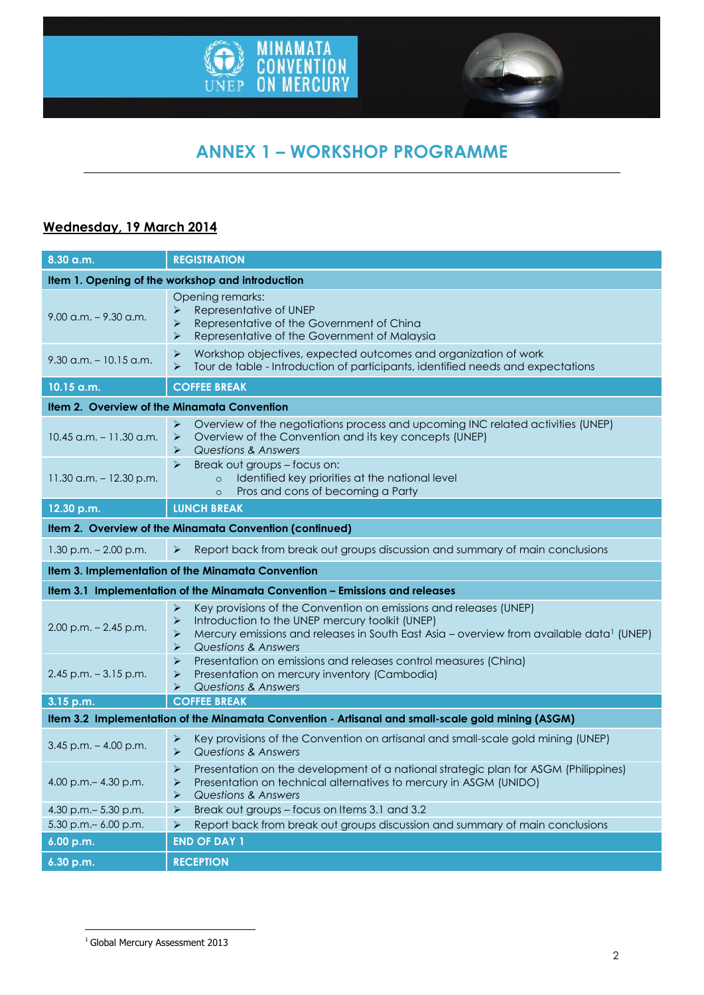



# **ANNEX 1 – WORKSHOP PROGRAMME**

### **Wednesday, 19 March 2014**

| 8.30 a.m.                                                                                         | <b>REGISTRATION</b>                                                                                                                                                                                                                                                                |  |
|---------------------------------------------------------------------------------------------------|------------------------------------------------------------------------------------------------------------------------------------------------------------------------------------------------------------------------------------------------------------------------------------|--|
| Item 1. Opening of the workshop and introduction                                                  |                                                                                                                                                                                                                                                                                    |  |
| $9.00$ a.m. $-9.30$ a.m.                                                                          | Opening remarks:<br>Representative of UNEP<br>➤<br>$\blacktriangleright$<br>Representative of the Government of China<br>Representative of the Government of Malaysia<br>➤                                                                                                         |  |
| $9.30$ a.m. $-10.15$ a.m.                                                                         | Workshop objectives, expected outcomes and organization of work<br>➤<br>Tour de table - Introduction of participants, identified needs and expectations<br>⋗                                                                                                                       |  |
| 10.15 a.m.                                                                                        | <b>COFFEE BREAK</b>                                                                                                                                                                                                                                                                |  |
| Item 2. Overview of the Minamata Convention                                                       |                                                                                                                                                                                                                                                                                    |  |
| $10.45$ a.m. $-11.30$ a.m.                                                                        | Overview of the negotiations process and upcoming INC related activities (UNEP)<br>➤<br>Overview of the Convention and its key concepts (UNEP)<br>$\blacktriangleright$<br><b>Questions &amp; Answers</b><br>➤                                                                     |  |
| $11.30$ a.m. $-12.30$ p.m.                                                                        | Break out groups - focus on:<br>➤<br>Identified key priorities at the national level<br>$\circ$<br>Pros and cons of becoming a Party<br>$\circ$                                                                                                                                    |  |
| 12.30 p.m.                                                                                        | <b>LUNCH BREAK</b>                                                                                                                                                                                                                                                                 |  |
| Item 2. Overview of the Minamata Convention (continued)                                           |                                                                                                                                                                                                                                                                                    |  |
| $1.30$ p.m. $- 2.00$ p.m.                                                                         | Report back from break out groups discussion and summary of main conclusions<br>➤                                                                                                                                                                                                  |  |
|                                                                                                   | Item 3. Implementation of the Minamata Convention                                                                                                                                                                                                                                  |  |
|                                                                                                   | Item 3.1 Implementation of the Minamata Convention - Emissions and releases                                                                                                                                                                                                        |  |
| $2.00$ p.m. $- 2.45$ p.m.                                                                         | Key provisions of the Convention on emissions and releases (UNEP)<br>➤<br>➤<br>Introduction to the UNEP mercury toolkit (UNEP)<br>Mercury emissions and releases in South East Asia - overview from available data <sup>1</sup> (UNEP)<br>⋗<br><b>Questions &amp; Answers</b><br>➤ |  |
| $2.45$ p.m. $-3.15$ p.m.                                                                          | $\blacktriangleright$<br>Presentation on emissions and releases control measures (China)<br>Presentation on mercury inventory (Cambodia)<br>$\blacktriangleright$<br><b>Questions &amp; Answers</b><br>➤                                                                           |  |
| 3.15 p.m.                                                                                         | <b>COFFEE BREAK</b>                                                                                                                                                                                                                                                                |  |
| Item 3.2 Implementation of the Minamata Convention - Artisanal and small-scale gold mining (ASGM) |                                                                                                                                                                                                                                                                                    |  |
| $3.45$ p.m. $-4.00$ p.m.                                                                          | Key provisions of the Convention on artisanal and small-scale gold mining (UNEP)<br>➤<br>Questions & Answers<br>$\blacktriangleright$                                                                                                                                              |  |
| 4.00 p.m. $-$ 4.30 p.m.                                                                           | Presentation on the development of a national strategic plan for ASGM (Philippines)<br>➤<br>Presentation on technical alternatives to mercury in ASGM (UNIDO)<br>➤<br><b>Questions &amp; Answers</b><br>➤                                                                          |  |
| 4.30 p.m. - 5.30 p.m.                                                                             | Break out groups - focus on Items 3.1 and 3.2<br>$\blacktriangleright$                                                                                                                                                                                                             |  |
| 5.30 p.m. - 6.00 p.m.                                                                             | Report back from break out groups discussion and summary of main conclusions<br>$\blacktriangleright$                                                                                                                                                                              |  |
| 6.00 p.m.                                                                                         | <b>END OF DAY 1</b>                                                                                                                                                                                                                                                                |  |
| 6.30 p.m.                                                                                         | <b>RECEPTION</b>                                                                                                                                                                                                                                                                   |  |

1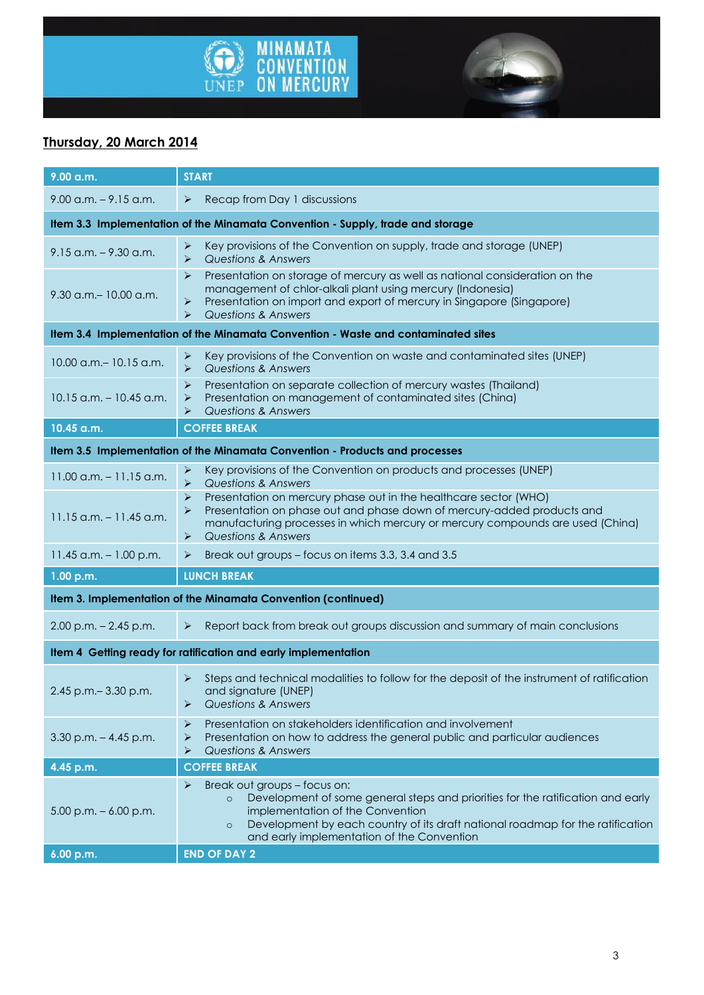



# **Thursday, 20 March 2014**

| 9.00 a.m.                                                                         | <b>START</b>                                                                                                                                                                                                                                                                                                   |  |
|-----------------------------------------------------------------------------------|----------------------------------------------------------------------------------------------------------------------------------------------------------------------------------------------------------------------------------------------------------------------------------------------------------------|--|
| $9.00$ a.m. $-9.15$ a.m.                                                          | Recap from Day 1 discussions<br>➤                                                                                                                                                                                                                                                                              |  |
| Item 3.3 Implementation of the Minamata Convention - Supply, trade and storage    |                                                                                                                                                                                                                                                                                                                |  |
| $9.15$ a.m. $-9.30$ a.m.                                                          | Key provisions of the Convention on supply, trade and storage (UNEP)<br>➤<br><b>Questions &amp; Answers</b><br>➤                                                                                                                                                                                               |  |
| 9.30 a.m. - 10.00 a.m.                                                            | Presentation on storage of mercury as well as national consideration on the<br>➤<br>management of chlor-alkali plant using mercury (Indonesia)<br>Presentation on import and export of mercury in Singapore (Singapore)<br>➤<br>Questions & Answers<br>➤                                                       |  |
| Item 3.4 Implementation of the Minamata Convention - Waste and contaminated sites |                                                                                                                                                                                                                                                                                                                |  |
| 10.00 a.m. - 10.15 a.m.                                                           | Key provisions of the Convention on waste and contaminated sites (UNEP)<br>➤<br>$\blacktriangleright$<br><b>Questions &amp; Answers</b>                                                                                                                                                                        |  |
| $10.15$ a.m. $- 10.45$ a.m.                                                       | Presentation on separate collection of mercury wastes (Thailand)<br>➤<br>Presentation on management of contaminated sites (China)<br>➤<br><b>Questions &amp; Answers</b><br>⋗                                                                                                                                  |  |
| 10.45 a.m.                                                                        | <b>COFFEE BREAK</b>                                                                                                                                                                                                                                                                                            |  |
| Item 3.5 Implementation of the Minamata Convention - Products and processes       |                                                                                                                                                                                                                                                                                                                |  |
| $11.00$ a.m. $-11.15$ a.m.                                                        | Key provisions of the Convention on products and processes (UNEP)<br>➤<br>$\blacktriangleright$<br><b>Questions &amp; Answers</b>                                                                                                                                                                              |  |
| $11.15$ a.m. $-11.45$ a.m.                                                        | $\blacktriangleright$<br>Presentation on mercury phase out in the healthcare sector (WHO)<br>Presentation on phase out and phase down of mercury-added products and<br>⋗<br>manufacturing processes in which mercury or mercury compounds are used (China)<br><b>Questions &amp; Answers</b><br>➤              |  |
| 11.45 a.m. $-1.00$ p.m.                                                           | Break out groups - focus on items 3.3, 3.4 and 3.5<br>➤                                                                                                                                                                                                                                                        |  |
| 1.00 p.m.                                                                         | <b>LUNCH BREAK</b>                                                                                                                                                                                                                                                                                             |  |
| Item 3. Implementation of the Minamata Convention (continued)                     |                                                                                                                                                                                                                                                                                                                |  |
| $2.00$ p.m. $- 2.45$ p.m.                                                         | Report back from break out groups discussion and summary of main conclusions<br>➤                                                                                                                                                                                                                              |  |
| Item 4 Getting ready for ratification and early implementation                    |                                                                                                                                                                                                                                                                                                                |  |
| 2.45 p.m. - 3.30 p.m.                                                             | Steps and technical modalities to follow for the deposit of the instrument of ratification<br>➤<br>and signature (UNEP)<br><b>Questions &amp; Answers</b><br>⋗                                                                                                                                                 |  |
| $3.30$ p.m. $-4.45$ p.m.                                                          | Presentation on stakeholders identification and involvement<br>➤<br>Presentation on how to address the general public and particular audiences<br>➤<br><b>Questions &amp; Answers</b><br>➤                                                                                                                     |  |
| 4.45 p.m.                                                                         | <b>COFFEE BREAK</b>                                                                                                                                                                                                                                                                                            |  |
| $5.00$ p.m. $-6.00$ p.m.                                                          | Break out groups - focus on:<br>➤<br>Development of some general steps and priorities for the ratification and early<br>$\circ$<br>implementation of the Convention<br>Development by each country of its draft national roadmap for the ratification<br>$\circ$<br>and early implementation of the Convention |  |
| 6.00 p.m.                                                                         | <b>END OF DAY 2</b>                                                                                                                                                                                                                                                                                            |  |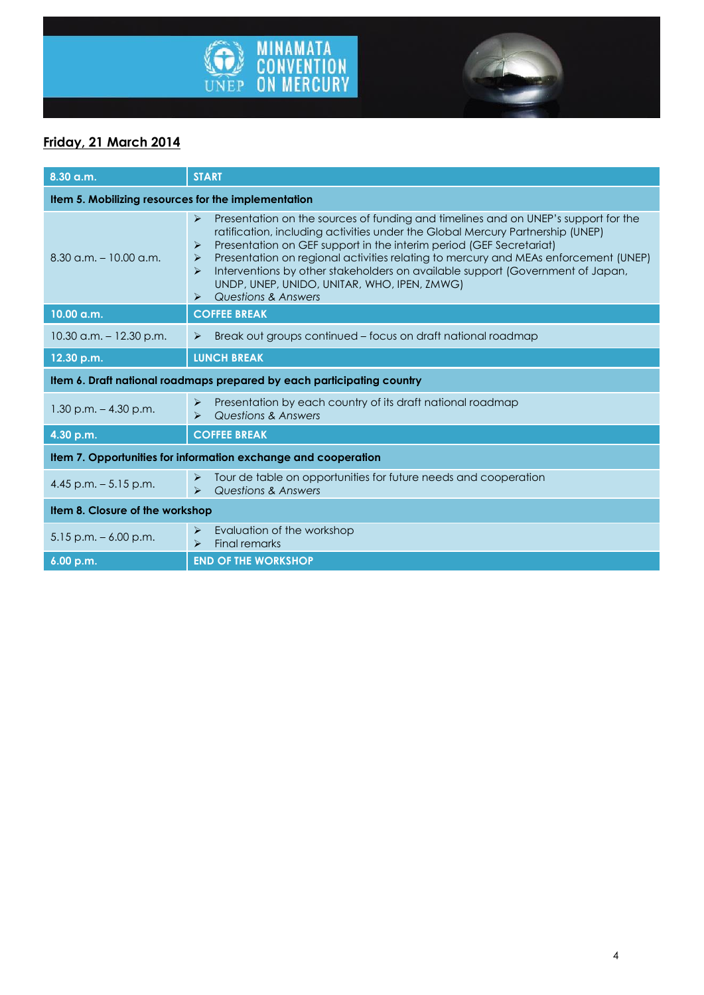



# **Friday, 21 March 2014**

| 8.30 a.m.                                                              | <b>START</b>                                                                                                                                                                                                                                                                                                                                                                                                                                                                                                                                                                               |  |
|------------------------------------------------------------------------|--------------------------------------------------------------------------------------------------------------------------------------------------------------------------------------------------------------------------------------------------------------------------------------------------------------------------------------------------------------------------------------------------------------------------------------------------------------------------------------------------------------------------------------------------------------------------------------------|--|
| Item 5. Mobilizing resources for the implementation                    |                                                                                                                                                                                                                                                                                                                                                                                                                                                                                                                                                                                            |  |
| $8.30$ a.m. $-10.00$ a.m.                                              | Presentation on the sources of funding and timelines and on UNEP's support for the<br>$\blacktriangleright$<br>ratification, including activities under the Global Mercury Partnership (UNEP)<br>Presentation on GEF support in the interim period (GEF Secretariat)<br>➤<br>Presentation on regional activities relating to mercury and MEAs enforcement (UNEP)<br>➤<br>Interventions by other stakeholders on available support (Government of Japan,<br>$\blacktriangleright$<br>UNDP, UNEP, UNIDO, UNITAR, WHO, IPEN, ZMWG)<br><b>Questions &amp; Answers</b><br>$\blacktriangleright$ |  |
| 10.00 a.m.                                                             | <b>COFFEE BREAK</b>                                                                                                                                                                                                                                                                                                                                                                                                                                                                                                                                                                        |  |
| $10.30$ a.m. $-12.30$ p.m.                                             | Break out groups continued – focus on draft national roadmap<br>$\blacktriangleright$                                                                                                                                                                                                                                                                                                                                                                                                                                                                                                      |  |
| 12.30 p.m.                                                             | <b>LUNCH BREAK</b>                                                                                                                                                                                                                                                                                                                                                                                                                                                                                                                                                                         |  |
| Item 6. Draft national roadmaps prepared by each participating country |                                                                                                                                                                                                                                                                                                                                                                                                                                                                                                                                                                                            |  |
| $1.30$ p.m. $-4.30$ p.m.                                               | Presentation by each country of its draft national roadmap<br>$\blacktriangleright$<br><b>Questions &amp; Answers</b><br>⋗                                                                                                                                                                                                                                                                                                                                                                                                                                                                 |  |
| 4.30 p.m.                                                              | <b>COFFEE BREAK</b>                                                                                                                                                                                                                                                                                                                                                                                                                                                                                                                                                                        |  |
| Item 7. Opportunities for information exchange and cooperation         |                                                                                                                                                                                                                                                                                                                                                                                                                                                                                                                                                                                            |  |
| 4.45 p.m. $-5.15$ p.m.                                                 | Tour de table on opportunities for future needs and cooperation<br>➤<br><b>Questions &amp; Answers</b><br>$\blacktriangleright$                                                                                                                                                                                                                                                                                                                                                                                                                                                            |  |
| Item 8. Closure of the workshop                                        |                                                                                                                                                                                                                                                                                                                                                                                                                                                                                                                                                                                            |  |
| $5.15$ p.m. $-6.00$ p.m.                                               | Evaluation of the workshop<br>➤<br><b>Final remarks</b><br>$\blacktriangleright$                                                                                                                                                                                                                                                                                                                                                                                                                                                                                                           |  |
| 6.00 p.m.                                                              | <b>END OF THE WORKSHOP</b>                                                                                                                                                                                                                                                                                                                                                                                                                                                                                                                                                                 |  |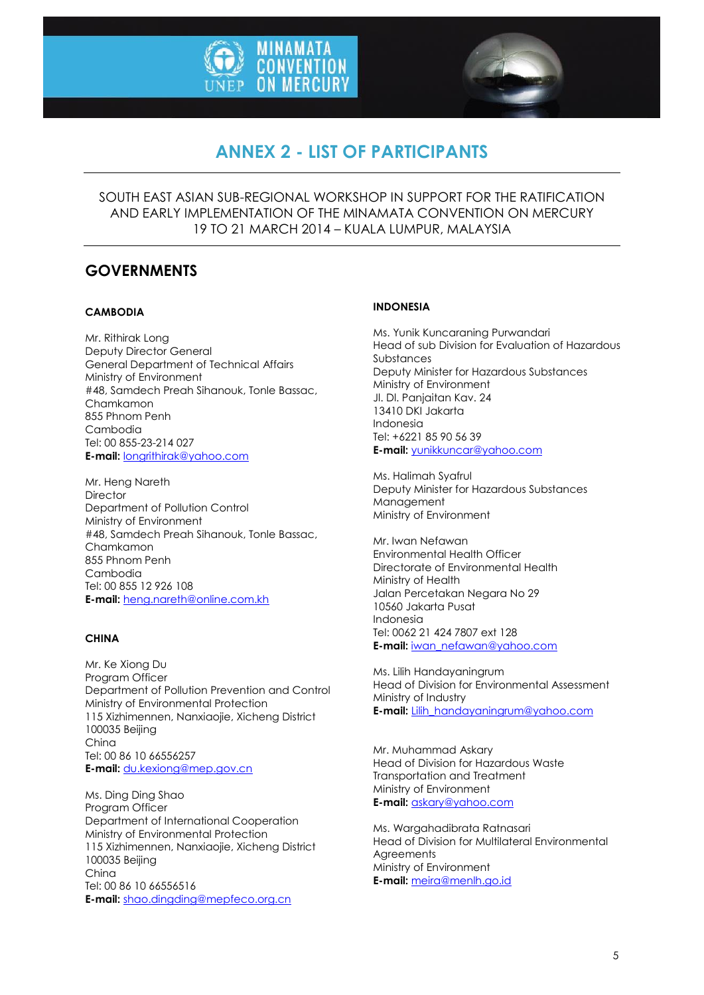



# **ANNEX 2 - LIST OF PARTICIPANTS**

SOUTH EAST ASIAN SUB-REGIONAL WORKSHOP IN SUPPORT FOR THE RATIFICATION AND EARLY IMPLEMENTATION OF THE MINAMATA CONVENTION ON MERCURY 19 TO 21 MARCH 2014 – KUALA LUMPUR, MALAYSIA

### **GOVERNMENTS**

#### **CAMBODIA**

Mr. Rithirak Long Deputy Director General General Department of Technical Affairs Ministry of Environment #48, Samdech Preah Sihanouk, Tonle Bassac, Chamkamon 855 Phnom Penh Cambodia Tel: 00 855-23-214 027 **E-mail:** [longrithirak@yahoo.com](mailto:longrithirak@yahoo.com)

Mr. Heng Nareth **Director** Department of Pollution Control Ministry of Environment #48, Samdech Preah Sihanouk, Tonle Bassac, Chamkamon 855 Phnom Penh Cambodia Tel: 00 855 12 926 108 **E-mail:** [heng.nareth@online.com.kh](mailto:heng.nareth@online.com.kh)

#### **CHINA**

Mr. Ke Xiong Du Program Officer Department of Pollution Prevention and Control Ministry of Environmental Protection 115 Xizhimennen, Nanxiaojie, Xicheng District 100035 Beijing China Tel: 00 86 10 66556257 **E-mail:** [du.kexiong@mep.gov.cn](mailto:du.kexiong@mep.gov.cn)

Ms. Ding Ding Shao Program Officer Department of International Cooperation Ministry of Environmental Protection 115 Xizhimennen, Nanxiaojie, Xicheng District 100035 Beijing China Tel: 00 86 10 66556516 **E-mail:** [shao.dingding@mepfeco.org.cn](mailto:shao.dingding@mepfeco.org.cn)

#### **INDONESIA**

Ms. Yunik Kuncaraning Purwandari Head of sub Division for Evaluation of Hazardous Substances Deputy Minister for Hazardous Substances Ministry of Environment Jl. Dl. Panjaitan Kav. 24 13410 DKI Jakarta Indonesia Tel: +6221 85 90 56 39 **E-mail:** [yunikkuncar@yahoo.com](mailto:yunikkuncar@yahoo.com)

Ms. Halimah Syafrul Deputy Minister for Hazardous Substances Management Ministry of Environment

Mr. Iwan Nefawan Environmental Health Officer Directorate of Environmental Health Ministry of Health Jalan Percetakan Negara No 29 10560 Jakarta Pusat Indonesia Tel: 0062 21 424 7807 ext 128 **E-mail:** [iwan\\_nefawan@yahoo.com](mailto:iwan_nefawan@yahoo.com)

Ms. Lilih Handayaningrum Head of Division for Environmental Assessment Ministry of Industry **E-mail:** [Lilih\\_handayaningrum@yahoo.com](mailto:Lilih_handayaningrum@yahoo.com)

Mr. Muhammad Askary Head of Division for Hazardous Waste Transportation and Treatment Ministry of Environment **E-mail:** [askary@yahoo.com](mailto:askary@yahoo.com)

Ms. Wargahadibrata Ratnasari Head of Division for Multilateral Environmental **Agreements** Ministry of Environment **E-mail:** [meira@menlh.go.id](mailto:meira@menlh.go.id)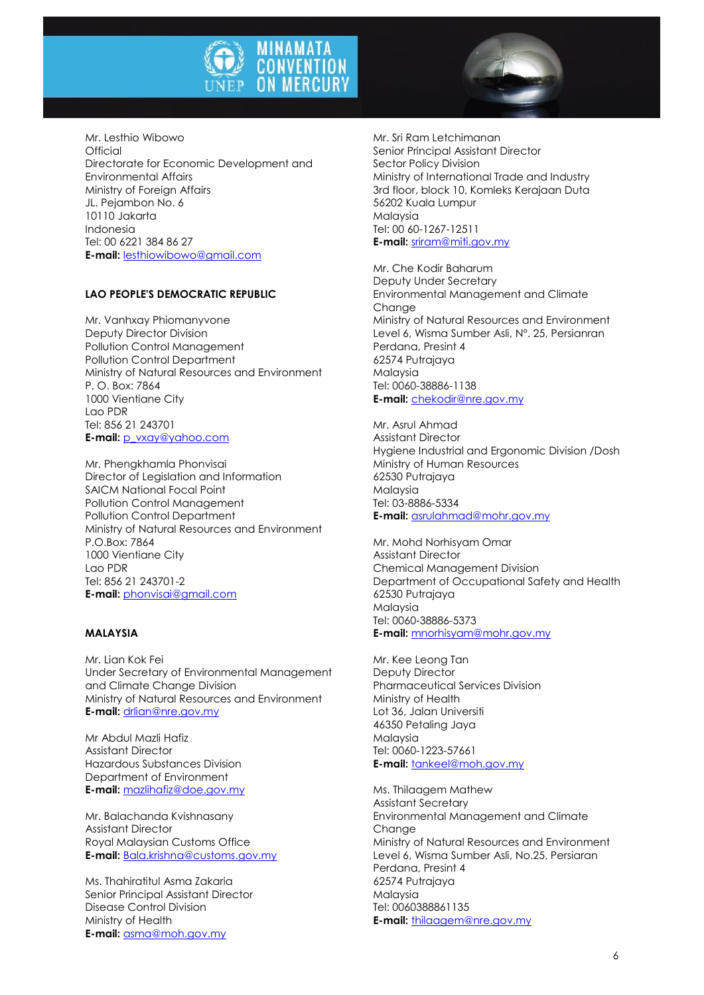



#### **LAO PEOPLE'S DEMOCRATIC REPUBLIC**

Mr. Vanhxay Phiomanyvone Deputy Director Division Pollution Control Management Pollution Control Department Ministry of Natural Resources and Environment P. O. Box: 7864 1000 Vientiane City Lao PDR Tel: 856 21 243701 **E-mail:** [p\\_vxay@yahoo.com](mailto:p_vxay@yahoo.com)

Mr. Phengkhamla Phonvisai Director of Legislation and Information SAICM National Focal Point Pollution Control Management Pollution Control Department Ministry of Natural Resources and Environment P.O.Box: 7864 1000 Vientiane City Lao PDR Tel: 856 21 243701-2 **E-mail:** [phonvisai@gmail.com](mailto:phonvisai@gmail.com)

#### **MALAYSIA**

Mr. Lian Kok Fei Under Secretary of Environmental Management and Climate Change Division Ministry of Natural Resources and Environment **E-mail:** [drlian@nre.gov.my](mailto:drlian@nre.gov.my)

Mr Abdul Mazli Hafiz Assistant Director Hazardous Substances Division Department of Environment **E-mail:** [mazlihafiz@doe.gov.my](mailto:mazlihafiz@doe.gov.my)

Mr. Balachanda Kvishnasany Assistant Director Royal Malaysian Customs Office **E-mail:** [Bala.krishna@customs.gov.my](mailto:Bala.krishna@customs.gov.my)

Ms. Thahiratitul Asma Zakaria Senior Principal Assistant Director Disease Control Division Ministry of Health **E-mail:** [asma@moh.gov.my](mailto:asma@moh.gov.my)

Mr. Sri Ram Letchimanan Senior Principal Assistant Director Sector Policy Division Ministry of International Trade and Industry 3rd floor, block 10, Komleks Kerajaan Duta 56202 Kuala Lumpur Malaysia Tel: 00 60-1267-12511 **E-mail:** [sriram@miti.gov.my](mailto:sriram@miti.gov.my)

Mr. Che Kodir Baharum Deputy Under Secretary Environmental Management and Climate Chanae Ministry of Natural Resources and Environment Level 6, Wisma Sumber Asli, N°. 25, Persianran Perdana, Presint 4 62574 Putrajaya Malaysia Tel: 0060-38886-1138 **E-mail:** [chekodir@nre.gov.my](mailto:chekodir@nre.gov.my)

Mr. Asrul Ahmad Assistant Director Hygiene Industrial and Ergonomic Division /Dosh Ministry of Human Resources 62530 Putrajaya Malaysia Tel: 03-8886-5334 **E-mail:** [asrulahmad@mohr.gov.my](mailto:asrulahmad@mohr.gov.my)

Mr. Mohd Norhisyam Omar Assistant Director Chemical Management Division Department of Occupational Safety and Health 62530 Putrajaya Malaysia Tel: 0060-38886-5373 **E-mail:** [mnorhisyam@mohr.gov.my](mailto:mnorhisyam@mohr.gov.my)

Mr. Kee Leong Tan Deputy Director Pharmaceutical Services Division Ministry of Health Lot 36, Jalan Universiti 46350 Petaling Jaya Malaysia Tel: 0060-1223-57661 **E-mail:** [tankeel@moh.gov.my](mailto:tankeel@moh.gov.my)

Ms. Thilaagem Mathew Assistant Secretary Environmental Management and Climate **Change** Ministry of Natural Resources and Environment Level 6, Wisma Sumber Asli, No.25, Persiaran Perdana, Presint 4 62574 Putrajaya Malaysia Tel: 0060388861135 **E-mail:** [thilaagem@nre.gov.my](mailto:thilaagem@nre.gov.my)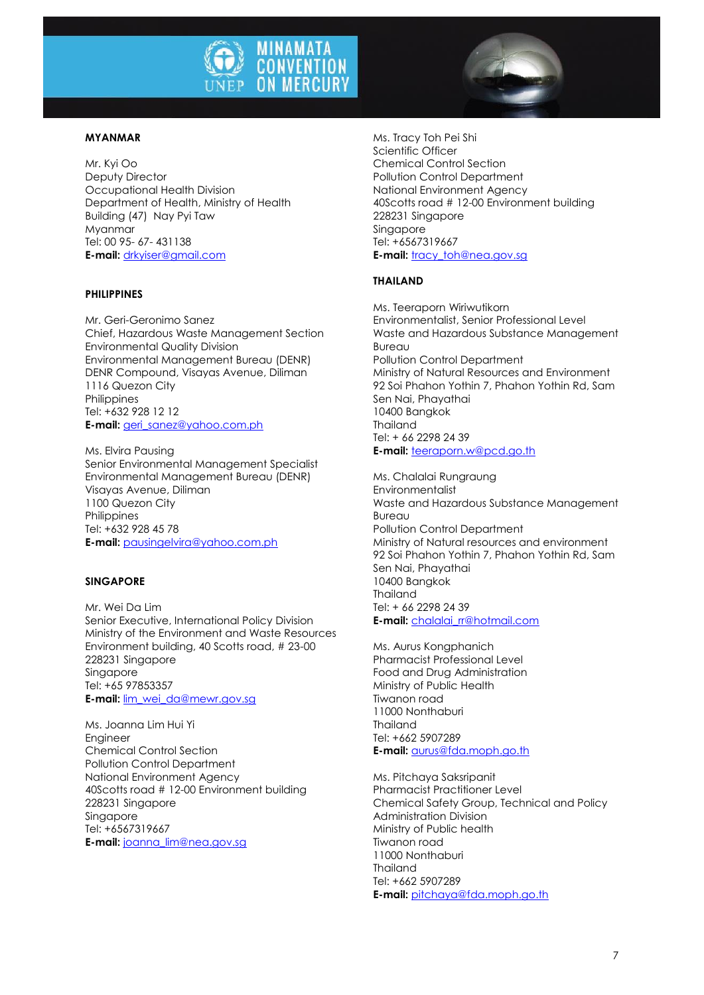

#### **MYANMAR**

Mr. Kyi Oo Deputy Director Occupational Health Division Department of Health, Ministry of Health Building (47) Nay Pyi Taw Myanmar Tel: 00 95- 67- 431138 **E-mail:** [drkyiser@gmail.com](mailto:drkyiser@gmail.com)

#### **PHILIPPINES**

Mr. Geri-Geronimo Sanez Chief, Hazardous Waste Management Section Environmental Quality Division Environmental Management Bureau (DENR) DENR Compound, Visayas Avenue, Diliman 1116 Quezon City **Philippines** Tel: +632 928 12 12 **E-mail:** [geri\\_sanez@yahoo.com.ph](mailto:geri_sanez@yahoo.com.ph)

Ms. Elvira Pausing Senior Environmental Management Specialist Environmental Management Bureau (DENR) Visayas Avenue, Diliman 1100 Quezon City **Philippines** Tel: +632 928 45 78 **E-mail:** [pausingelvira@yahoo.com.ph](mailto:pausingelvira@yahoo.com.ph)

#### **SINGAPORE**

Mr. Wei Da Lim Senior Executive, International Policy Division Ministry of the Environment and Waste Resources Environment building, 40 Scotts road, # 23-00 228231 Singapore Singapore Tel: +65 97853357 **E-mail:** [lim\\_wei\\_da@mewr.gov.sg](mailto:lim_wei_da@mewr.gov.sg)

Ms. Joanna Lim Hui Yi Engineer Chemical Control Section Pollution Control Department National Environment Agency 40Scotts road # 12-00 Environment building 228231 Singapore Singapore Tel: +6567319667 **E-mail:** [joanna\\_lim@nea.gov.sg](mailto:joanna_lim@nea.gov.sg)

Ms. Tracy Toh Pei Shi Scientific Officer Chemical Control Section Pollution Control Department National Environment Agency 40Scotts road # 12-00 Environment building 228231 Singapore Singapore Tel: +6567319667 **E-mail: tracy** toh@nea.gov.sg

#### **THAILAND**

Ms. Teeraporn Wiriwutikorn Environmentalist, Senior Professional Level Waste and Hazardous Substance Management Bureau Pollution Control Department Ministry of Natural Resources and Environment 92 Soi Phahon Yothin 7, Phahon Yothin Rd, Sam Sen Nai, Phayathai 10400 Bangkok Thailand Tel: + 66 2298 24 39 **E-mail:** [teeraporn.w@pcd.go.th](mailto:teeraporn.w@pcd.go.th)

Ms. Chalalai Rungraung **Environmentalist** Waste and Hazardous Substance Management **Bureau** Pollution Control Department Ministry of Natural resources and environment 92 Soi Phahon Yothin 7, Phahon Yothin Rd, Sam Sen Nai, Phayathai 10400 Bangkok Thailand Tel: + 66 2298 24 39 **E-mail:** [chalalai\\_rr@hotmail.com](mailto:chalalai_rr@hotmail.com)

Ms. Aurus Kongphanich Pharmacist Professional Level Food and Drug Administration Ministry of Public Health Tiwanon road 11000 Nonthaburi Thailand Tel: +662 5907289 **E-mail:** [aurus@fda.moph.go.th](mailto:aurus@fda.moph.go.th)

Ms. Pitchaya Saksripanit Pharmacist Practitioner Level Chemical Safety Group, Technical and Policy Administration Division Ministry of Public health Tiwanon road 11000 Nonthaburi Thailand Tel: +662 5907289 **E-mail:** [pitchaya@fda.moph.go.th](mailto:pitchaya@fda.moph.go.th)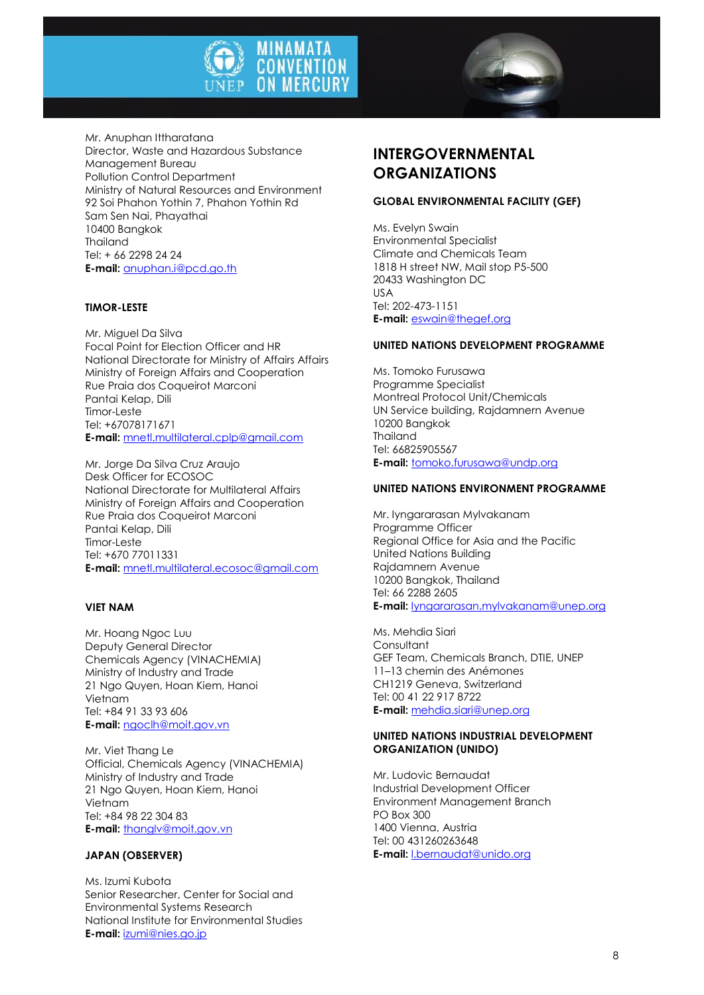



Mr. Anuphan Ittharatana Director, Waste and Hazardous Substance Management Bureau Pollution Control Department Ministry of Natural Resources and Environment 92 Soi Phahon Yothin 7, Phahon Yothin Rd Sam Sen Nai, Phayathai 10400 Bangkok Thailand Tel: + 66 2298 24 24 **E-mail:** [anuphan.i@pcd.go.th](mailto:anuphan.i@pcd.go.th)

#### **TIMOR-LESTE**

Mr. Miguel Da Silva Focal Point for Election Officer and HR National Directorate for Ministry of Affairs Affairs Ministry of Foreign Affairs and Cooperation Rue Praia dos Coqueirot Marconi Pantai Kelap, Dili Timor-Leste Tel: +67078171671 **E-mail:** [mnetl.multilateral.cplp@gmail.com](mailto:mnetl.multilateral.cplp@gmail.com)

Mr. Jorge Da Silva Cruz Araujo Desk Officer for ECOSOC National Directorate for Multilateral Affairs Ministry of Foreign Affairs and Cooperation Rue Praia dos Coqueirot Marconi Pantai Kelap, Dili Timor-Leste Tel: +670 77011331 **E-mail:** [mnetl.multilateral.ecosoc@gmail.com](mailto:mnetl.multilateral.ecosoc@gmail.com)

#### **VIET NAM**

Mr. Hoang Ngoc Luu Deputy General Director Chemicals Agency (VINACHEMIA) Ministry of Industry and Trade 21 Ngo Quyen, Hoan Kiem, Hanoi Vietnam Tel: +84 91 33 93 606 **E-mail:** [ngoclh@moit.gov.vn](mailto:ngoclh@moit.gov.vn)

Mr. Viet Thang Le Official, Chemicals Agency (VINACHEMIA) Ministry of Industry and Trade 21 Ngo Quyen, Hoan Kiem, Hanoi Vietnam Tel: +84 98 22 304 83 **E-mail:** [thanglv@moit.gov.vn](mailto:thanglv@moit.gov.vn)

#### **JAPAN (OBSERVER)**

Ms. Izumi Kubota Senior Researcher, Center for Social and Environmental Systems Research National Institute for Environmental Studies **E-mail:** [izumi@nies.go.jp](mailto:izumi@nies.go.jp)

## **INTERGOVERNMENTAL ORGANIZATIONS**

#### **GLOBAL ENVIRONMENTAL FACILITY (GEF)**

Ms. Evelyn Swain Environmental Specialist Climate and Chemicals Team 1818 H street NW, Mail stop P5-500 20433 Washington DC USA Tel: 202-473-1151 **E-mail:** [eswain@thegef.org](mailto:eswain@thegef.org)

#### **UNITED NATIONS DEVELOPMENT PROGRAMME**

Ms. Tomoko Furusawa Programme Specialist Montreal Protocol Unit/Chemicals UN Service building, Rajdamnern Avenue 10200 Bangkok Thailand Tel: 66825905567 **E-mail:** [tomoko.furusawa@undp.org](mailto:tomoko.furusawa@undp.org)

#### **UNITED NATIONS ENVIRONMENT PROGRAMME**

Mr. Iyngararasan Mylvakanam Programme Officer Regional Office for Asia and the Pacific United Nations Building Rajdamnern Avenue 10200 Bangkok, Thailand Tel: 66 2288 2605 **E-mail:** [Iyngararasan.mylvakanam@unep.org](mailto:Iyngararasan.mylvakanam@unep.org)

Ms. Mehdia Siari **Consultant** GEF Team, Chemicals Branch, DTIE, UNEP 11–13 chemin des Anémones CH1219 Geneva, Switzerland Tel: 00 41 22 917 8722 **E-mail:** [mehdia.siari@unep.org](mailto:mehdia.siari@unep.org)

#### **UNITED NATIONS INDUSTRIAL DEVELOPMENT ORGANIZATION (UNIDO)**

Mr. Ludovic Bernaudat Industrial Development Officer Environment Management Branch PO Box 300 1400 Vienna, Austria Tel: 00 431260263648 **E-mail:** [l.bernaudat@unido.org](mailto:l.bernaudat@unido.org)